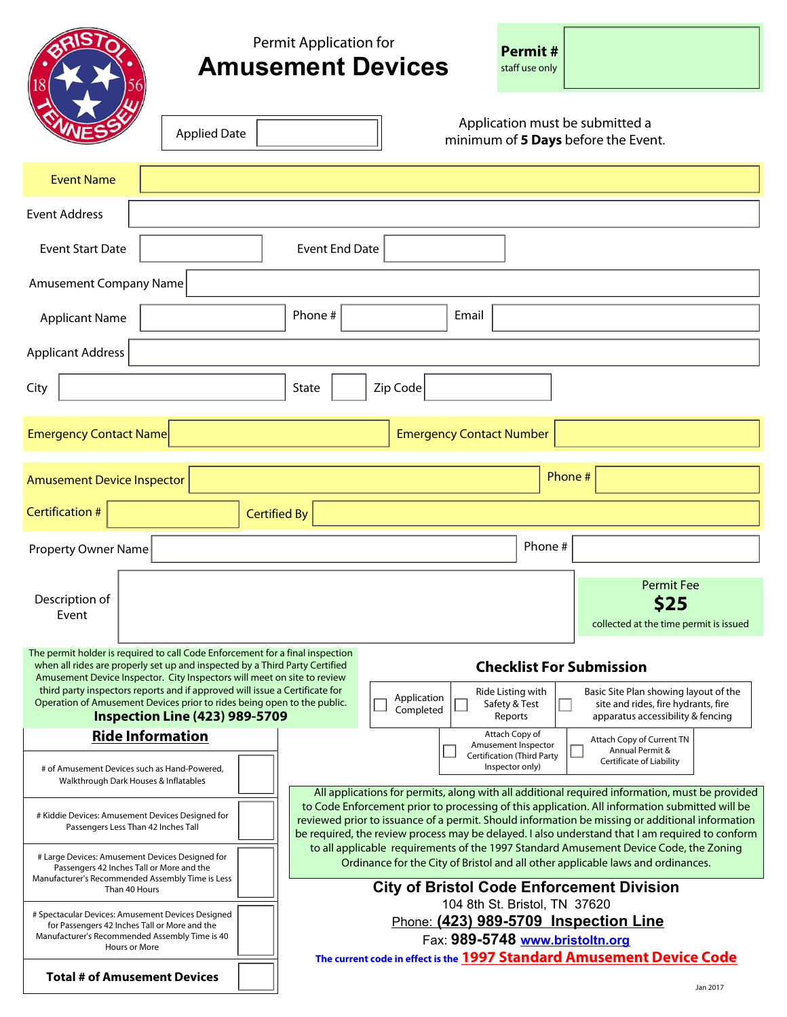|                                                                                                                                                                                                                                                                                                                                                                                                                                                                                                                                                            |                       | <b>Permit Application for</b><br><b>Amusement Devices</b> |                                                                                                                                                                                                                                                                                                                                                                                               |  |                                                                            | <b>Permit#</b><br>staff use only             |                                                                                                                   |  |
|------------------------------------------------------------------------------------------------------------------------------------------------------------------------------------------------------------------------------------------------------------------------------------------------------------------------------------------------------------------------------------------------------------------------------------------------------------------------------------------------------------------------------------------------------------|-----------------------|-----------------------------------------------------------|-----------------------------------------------------------------------------------------------------------------------------------------------------------------------------------------------------------------------------------------------------------------------------------------------------------------------------------------------------------------------------------------------|--|----------------------------------------------------------------------------|----------------------------------------------|-------------------------------------------------------------------------------------------------------------------|--|
|                                                                                                                                                                                                                                                                                                                                                                                                                                                                                                                                                            | <b>Applied Date</b>   |                                                           |                                                                                                                                                                                                                                                                                                                                                                                               |  |                                                                            |                                              | Application must be submitted a<br>minimum of 5 Days before the Event.                                            |  |
| <b>Event Name</b>                                                                                                                                                                                                                                                                                                                                                                                                                                                                                                                                          |                       |                                                           |                                                                                                                                                                                                                                                                                                                                                                                               |  |                                                                            |                                              |                                                                                                                   |  |
| <b>Event Address</b>                                                                                                                                                                                                                                                                                                                                                                                                                                                                                                                                       |                       |                                                           |                                                                                                                                                                                                                                                                                                                                                                                               |  |                                                                            |                                              |                                                                                                                   |  |
| <b>Event Start Date</b>                                                                                                                                                                                                                                                                                                                                                                                                                                                                                                                                    | <b>Event End Date</b> |                                                           |                                                                                                                                                                                                                                                                                                                                                                                               |  |                                                                            |                                              |                                                                                                                   |  |
| <b>Amusement Company Name</b>                                                                                                                                                                                                                                                                                                                                                                                                                                                                                                                              |                       |                                                           |                                                                                                                                                                                                                                                                                                                                                                                               |  |                                                                            |                                              |                                                                                                                   |  |
| <b>Applicant Name</b>                                                                                                                                                                                                                                                                                                                                                                                                                                                                                                                                      |                       | Phone #                                                   |                                                                                                                                                                                                                                                                                                                                                                                               |  | Email                                                                      |                                              |                                                                                                                   |  |
| <b>Applicant Address</b>                                                                                                                                                                                                                                                                                                                                                                                                                                                                                                                                   |                       |                                                           |                                                                                                                                                                                                                                                                                                                                                                                               |  |                                                                            |                                              |                                                                                                                   |  |
| City                                                                                                                                                                                                                                                                                                                                                                                                                                                                                                                                                       |                       | State                                                     | Zip Code                                                                                                                                                                                                                                                                                                                                                                                      |  |                                                                            |                                              |                                                                                                                   |  |
| <b>Emergency Contact Name</b><br><b>Emergency Contact Number</b>                                                                                                                                                                                                                                                                                                                                                                                                                                                                                           |                       |                                                           |                                                                                                                                                                                                                                                                                                                                                                                               |  |                                                                            |                                              |                                                                                                                   |  |
| Phone #<br><b>Amusement Device Inspector</b>                                                                                                                                                                                                                                                                                                                                                                                                                                                                                                               |                       |                                                           |                                                                                                                                                                                                                                                                                                                                                                                               |  |                                                                            |                                              |                                                                                                                   |  |
| Certification #                                                                                                                                                                                                                                                                                                                                                                                                                                                                                                                                            |                       | <b>Certified By</b>                                       |                                                                                                                                                                                                                                                                                                                                                                                               |  |                                                                            |                                              | $\blacktriangledown$                                                                                              |  |
| <b>Property Owner Name</b>                                                                                                                                                                                                                                                                                                                                                                                                                                                                                                                                 |                       |                                                           |                                                                                                                                                                                                                                                                                                                                                                                               |  |                                                                            | Phone #                                      |                                                                                                                   |  |
| Description of<br>Event                                                                                                                                                                                                                                                                                                                                                                                                                                                                                                                                    |                       |                                                           |                                                                                                                                                                                                                                                                                                                                                                                               |  |                                                                            |                                              | <b>Permit Fee</b><br>S25<br>collected at the time permit is issued                                                |  |
| The permit holder is required to call Code Enforcement for a final inspection<br>when all rides are properly set up and inspected by a Third Party Certified<br><b>Checklist For Submission</b><br>Amusement Device Inspector. City Inspectors will meet on site to review<br>third party inspectors reports and if approved will issue a Certificate for<br>Ride Listing with<br>Application<br>Operation of Amusement Devices prior to rides being open to the public.<br>Safety & Test<br>Completed<br><b>Inspection Line (423) 989-5709</b><br>Reports |                       |                                                           |                                                                                                                                                                                                                                                                                                                                                                                               |  |                                                                            |                                              | Basic Site Plan showing layout of the<br>site and rides, fire hydrants, fire<br>apparatus accessibility & fencing |  |
| <b>Ride Information</b>                                                                                                                                                                                                                                                                                                                                                                                                                                                                                                                                    |                       |                                                           |                                                                                                                                                                                                                                                                                                                                                                                               |  | Attach Copy of<br>Amusement Inspector<br><b>Certification (Third Party</b> | Attach Copy of Current TN<br>Annual Permit & |                                                                                                                   |  |
| # of Amusement Devices such as Hand-Powered,<br>Walkthrough Dark Houses & Inflatables                                                                                                                                                                                                                                                                                                                                                                                                                                                                      |                       |                                                           | Certificate of Liability<br>Inspector only)<br>All applications for permits, along with all additional required information, must be provided                                                                                                                                                                                                                                                 |  |                                                                            |                                              |                                                                                                                   |  |
| # Kiddie Devices: Amusement Devices Designed for<br>Passengers Less Than 42 Inches Tall                                                                                                                                                                                                                                                                                                                                                                                                                                                                    |                       |                                                           | to Code Enforcement prior to processing of this application. All information submitted will be<br>reviewed prior to issuance of a permit. Should information be missing or additional information<br>be required, the review process may be delayed. I also understand that I am required to conform<br>to all applicable requirements of the 1997 Standard Amusement Device Code, the Zoning |  |                                                                            |                                              |                                                                                                                   |  |
| # Large Devices: Amusement Devices Designed for<br>Passengers 42 Inches Tall or More and the<br>Manufacturer's Recommended Assembly Time is Less<br>Than 40 Hours                                                                                                                                                                                                                                                                                                                                                                                          |                       |                                                           | Ordinance for the City of Bristol and all other applicable laws and ordinances.<br><b>City of Bristol Code Enforcement Division</b>                                                                                                                                                                                                                                                           |  |                                                                            |                                              |                                                                                                                   |  |
| # Spectacular Devices: Amusement Devices Designed<br>for Passengers 42 Inches Tall or More and the<br>Manufacturer's Recommended Assembly Time is 40<br>Hours or More                                                                                                                                                                                                                                                                                                                                                                                      |                       |                                                           | 104 8th St. Bristol, TN 37620<br>Phone: (423) 989-5709 Inspection Line<br>Fax: 989-5748 www.bristoltn.org<br>The current code in effect is the 1997 Standard Amusement Device Code                                                                                                                                                                                                            |  |                                                                            |                                              |                                                                                                                   |  |
| <b>Total # of Amusement Devices</b>                                                                                                                                                                                                                                                                                                                                                                                                                                                                                                                        |                       |                                                           |                                                                                                                                                                                                                                                                                                                                                                                               |  |                                                                            | Jan 2017                                     |                                                                                                                   |  |